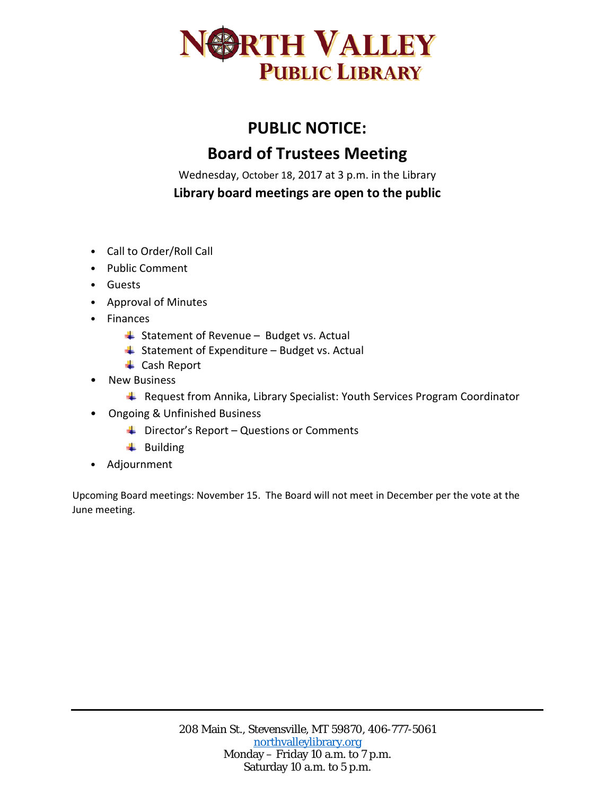

## **PUBLIC NOTICE: Board of Trustees Meeting**

Wednesday, October 18, 2017 at 3 p.m. in the Library

**Library board meetings are open to the public**

- Call to Order/Roll Call
- Public Comment
- Guests
- Approval of Minutes
- Finances
	- $\overline{\phantom{a}}$  Statement of Revenue Budget vs. Actual
	- $\overline{\phantom{a}}$  Statement of Expenditure Budget vs. Actual
	- **↓** Cash Report
- New Business
	- **L** Request from Annika, Library Specialist: Youth Services Program Coordinator
- Ongoing & Unfinished Business
	- $\downarrow$  Director's Report Questions or Comments
	- $\ddot{\bullet}$  Building
- Adjournment

Upcoming Board meetings: November 15. The Board will not meet in December per the vote at the June meeting.